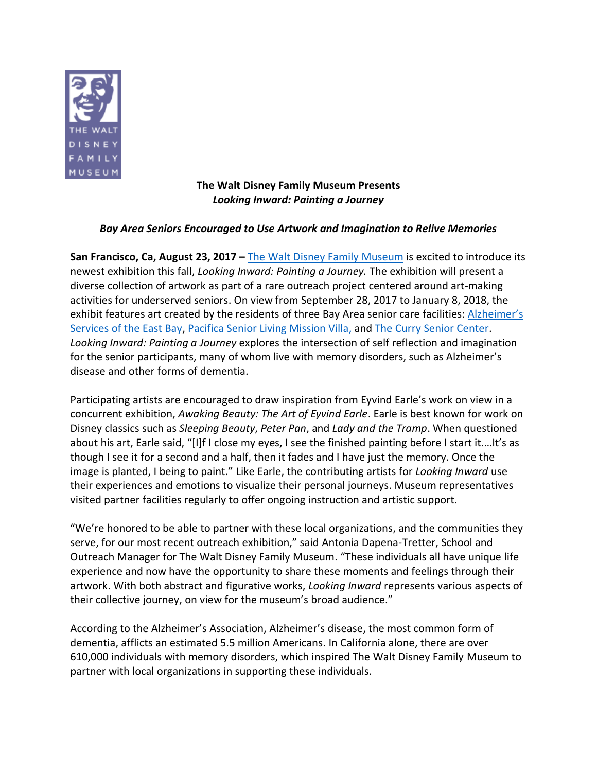

**The Walt Disney Family Museum Presents** *Looking Inward: Painting a Journey* 

# *Bay Area Seniors Encouraged to Use Artwork and Imagination to Relive Memories*

**San Francisco, Ca, August 23, 2017 –** [The Walt Disney Family Museum](http://waltdisney.org/) is excited to introduce its newest exhibition this fall, *Looking Inward: Painting a Journey.* The exhibition will present a diverse collection of artwork as part of a rare outreach project centered around art-making activities for underserved seniors. On view from September 28, 2017 to January 8, 2018, the exhibit features art created by the residents of three Bay Area senior care facilities: Alzheimer's [Services of the East Bay,](http://aseb.org/) [Pacifica Senior Living Mission Villa,](https://www.pacificaseniorliving.com/senior-living/ca/daly-city/pacifica-senior-living-mission-villa/) and [The Curry Senior Center.](http://curryseniorcenter.org/) *Looking Inward: Painting a Journey* explores the intersection of self reflection and imagination for the senior participants, many of whom live with memory disorders, such as Alzheimer's disease and other forms of dementia.

Participating artists are encouraged to draw inspiration from Eyvind Earle's work on view in a concurrent exhibition, *Awaking Beauty: The Art of Eyvind Earle*. Earle is best known for work on Disney classics such as *Sleeping Beauty*, *Peter Pan*, and *Lady and the Tramp*. When questioned about his art, Earle said, "[I]f I close my eyes, I see the finished painting before I start it.…It's as though I see it for a second and a half, then it fades and I have just the memory. Once the image is planted, I being to paint." Like Earle, the contributing artists for *Looking Inward* use their experiences and emotions to visualize their personal journeys. Museum representatives visited partner facilities regularly to offer ongoing instruction and artistic support.

"We're honored to be able to partner with these local organizations, and the communities they serve, for our most recent outreach exhibition," said Antonia Dapena-Tretter, School and Outreach Manager for The Walt Disney Family Museum. "These individuals all have unique life experience and now have the opportunity to share these moments and feelings through their artwork. With both abstract and figurative works, *Looking Inward* represents various aspects of their collective journey, on view for the museum's broad audience."

According to the Alzheimer's Association, Alzheimer's disease, the most common form of dementia, afflicts an estimated 5.5 million Americans. In California alone, there are over 610,000 individuals with memory disorders, which inspired The Walt Disney Family Museum to partner with local organizations in supporting these individuals.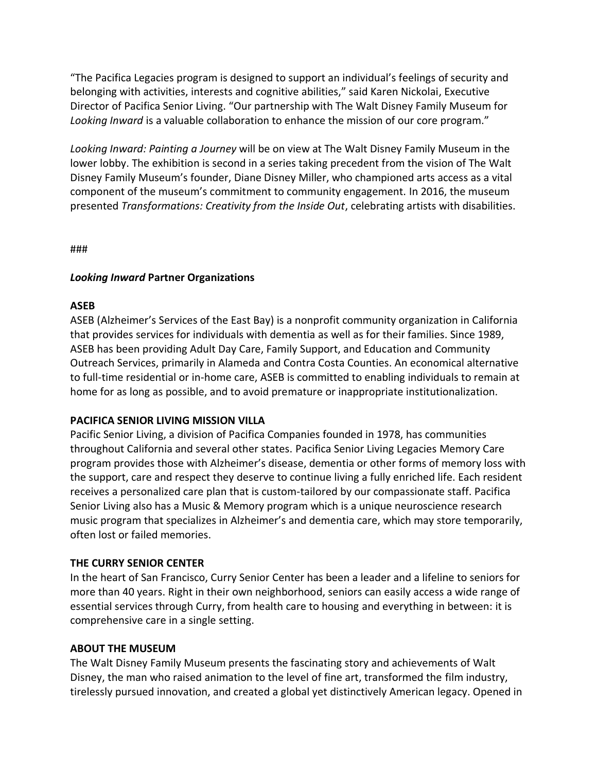"The Pacifica Legacies program is designed to support an individual's feelings of security and belonging with activities, interests and cognitive abilities," said Karen Nickolai, Executive Director of Pacifica Senior Living. "Our partnership with The Walt Disney Family Museum for *Looking Inward* is a valuable collaboration to enhance the mission of our core program."

*Looking Inward: Painting a Journey* will be on view at The Walt Disney Family Museum in the lower lobby. The exhibition is second in a series taking precedent from the vision of The Walt Disney Family Museum's founder, Diane Disney Miller, who championed arts access as a vital component of the museum's commitment to community engagement. In 2016, the museum presented *Transformations: Creativity from the Inside Out*, celebrating artists with disabilities.

###

# *Looking Inward* **Partner Organizations**

## **ASEB**

ASEB (Alzheimer's Services of the East Bay) is a nonprofit community organization in California that provides services for individuals with dementia as well as for their families. Since 1989, ASEB has been providing Adult Day Care, Family Support, and Education and Community Outreach Services, primarily in Alameda and Contra Costa Counties. An economical alternative to full-time residential or in-home care, ASEB is committed to enabling individuals to remain at home for as long as possible, and to avoid premature or inappropriate institutionalization.

# **PACIFICA SENIOR LIVING MISSION VILLA**

Pacific Senior Living, a division of Pacifica Companies founded in 1978, has communities throughout California and several other states. Pacifica Senior Living Legacies Memory Care program provides those with Alzheimer's disease, dementia or other forms of memory loss with the support, care and respect they deserve to continue living a fully enriched life. Each resident receives a personalized care plan that is custom-tailored by our compassionate staff. Pacifica Senior Living also has a Music & Memory program which is a unique neuroscience research music program that specializes in Alzheimer's and dementia care, which may store temporarily, often lost or failed memories.

## **THE CURRY SENIOR CENTER**

In the heart of San Francisco, Curry Senior Center has been a leader and a lifeline to seniors for more than 40 years. Right in their own neighborhood, seniors can easily access a wide range of essential services through Curry, from health care to housing and everything in between: it is comprehensive care in a single setting.

## **ABOUT THE MUSEUM**

The Walt Disney Family Museum presents the fascinating story and achievements of Walt Disney, the man who raised animation to the level of fine art, transformed the film industry, tirelessly pursued innovation, and created a global yet distinctively American legacy. Opened in